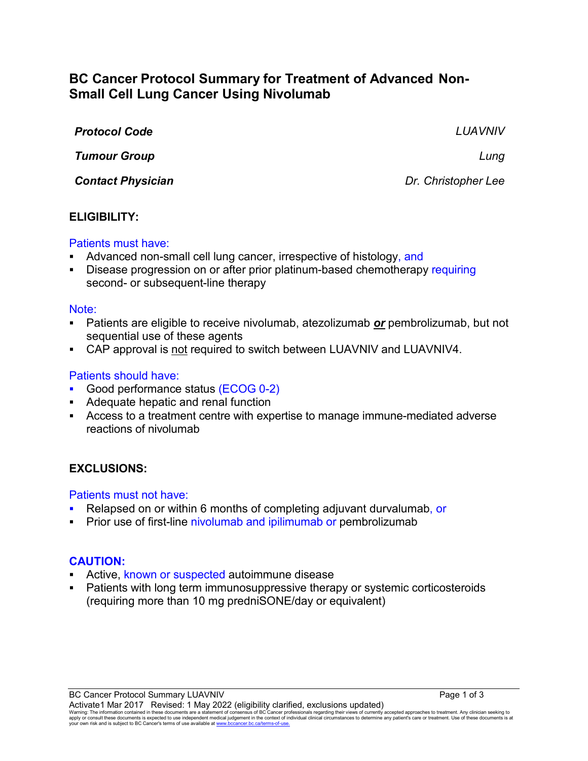# **BC Cancer Protocol Summary for Treatment of Advanced Non-Small Cell Lung Cancer Using Nivolumab**

| <b>Protocol Code</b>     | LUAVNIV             |
|--------------------------|---------------------|
| <b>Tumour Group</b>      | Lung                |
| <b>Contact Physician</b> | Dr. Christopher Lee |

### **ELIGIBILITY:**

#### Patients must have:

- Advanced non-small cell lung cancer, irrespective of histology, and
- Disease progression on or after prior platinum-based chemotherapy requiring second- or subsequent-line therapy

#### Note:

- Patients are eligible to receive nivolumab, atezolizumab *or* pembrolizumab, but not sequential use of these agents
- CAP approval is not required to switch between LUAVNIV and LUAVNIV4.

### Patients should have:

- Good performance status (ECOG 0-2)
- Adequate hepatic and renal function
- Access to a treatment centre with expertise to manage immune-mediated adverse reactions of nivolumab

### **EXCLUSIONS:**

#### Patients must not have:

- Relapsed on or within 6 months of completing adjuvant durvalumab, or
- Prior use of first-line nivolumab and ipilimumab or pembrolizumab

### **CAUTION:**

- Active, known or suspected autoimmune disease
- Patients with long term immunosuppressive therapy or systemic corticosteroids (requiring more than 10 mg predniSONE/day or equivalent)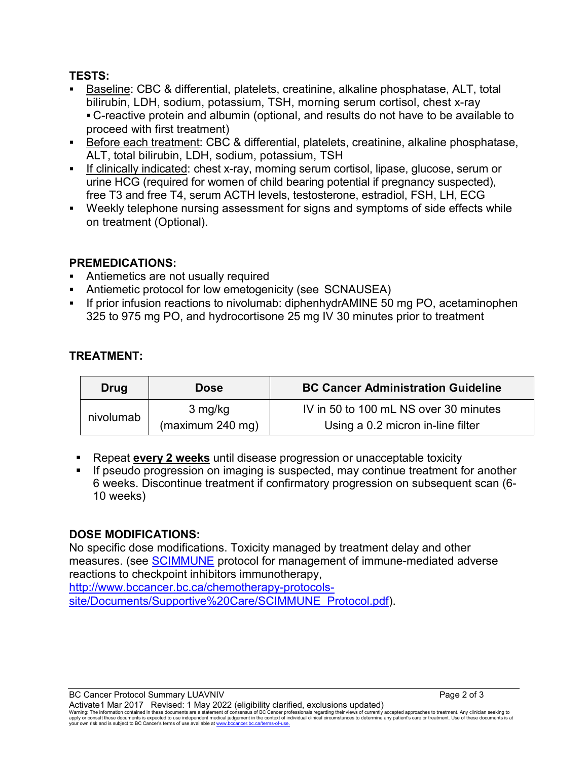# **TESTS:**

- Baseline: CBC & differential, platelets, creatinine, alkaline phosphatase, ALT, total bilirubin, LDH, sodium, potassium, TSH, morning serum cortisol, chest x-ray C-reactive protein and albumin (optional, and results do not have to be available to proceed with first treatment)
- Before each treatment: CBC & differential, platelets, creatinine, alkaline phosphatase, ALT, total bilirubin, LDH, sodium, potassium, TSH
- If clinically indicated: chest x-ray, morning serum cortisol, lipase, glucose, serum or urine HCG (required for women of child bearing potential if pregnancy suspected), free T3 and free T4, serum ACTH levels, testosterone, estradiol, FSH, LH, ECG
- Weekly telephone nursing assessment for signs and symptoms of side effects while on treatment (Optional).

# **PREMEDICATIONS:**

- Antiemetics are not usually required
- Antiemetic protocol for low emetogenicity (see SCNAUSEA)
- If prior infusion reactions to nivolumab: diphenhydrAMINE 50 mg PO, acetaminophen 325 to 975 mg PO, and hydrocortisone 25 mg IV 30 minutes prior to treatment

# **TREATMENT:**

| Drug      | <b>Dose</b>      | <b>BC Cancer Administration Guideline</b> |
|-----------|------------------|-------------------------------------------|
| nivolumab | 3 mg/kg          | IV in 50 to 100 mL NS over 30 minutes     |
|           | (maximum 240 mg) | Using a 0.2 micron in-line filter         |

- Repeat **every 2 weeks** until disease progression or unacceptable toxicity
- If pseudo progression on imaging is suspected, may continue treatment for another 6 weeks. Discontinue treatment if confirmatory progression on subsequent scan (6- 10 weeks)

# **DOSE MODIFICATIONS:**

No specific dose modifications. Toxicity managed by treatment delay and other measures. (see [SCIMMUNE](http://www.bccancer.bc.ca/chemotherapy-protocols-site/Documents/Supportive%20Care/SCIMMUNE_Protocol.pdf) protocol for management of immune-mediated adverse reactions to checkpoint inhibitors immunotherapy,

[http://www.bccancer.bc.ca/chemotherapy-protocols](http://www.bccancer.bc.ca/chemotherapy-protocols-site/Documents/Supportive%20Care/SCIMMUNE_Protocol.pdf)[site/Documents/Supportive%20Care/SCIMMUNE\\_Protocol.pdf\)](http://www.bccancer.bc.ca/chemotherapy-protocols-site/Documents/Supportive%20Care/SCIMMUNE_Protocol.pdf).

BC Cancer Protocol Summary LUAVNIV **Page 2 of 3** Activate1 Mar 2017 Revised: 1 May 2022 (eligibility clarified, exclusions updated) Warning: The information contained in these documents are a statement of consensus of BC Cancer professionals regarding their views of currently accepted approaches to treatment. Any clinician seeking to<br>apply or consult t